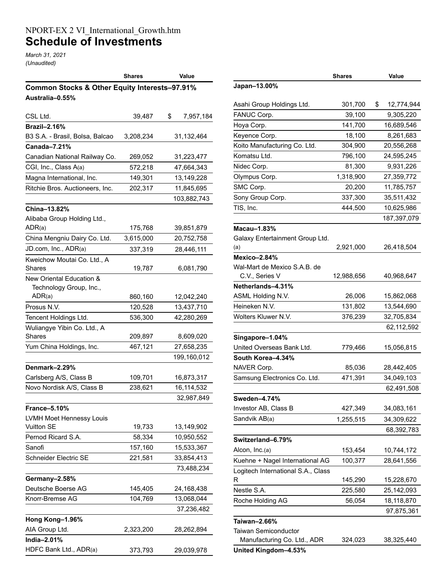## NPORT-EX 2 VI\_International\_Growth.htm **Schedule of Investments**

*March 31, 2021 (Unaudited)*

|                                               | <b>Shares</b> | Value           |  |  |  |  |
|-----------------------------------------------|---------------|-----------------|--|--|--|--|
| Common Stocks & Other Equity Interests-97.91% |               |                 |  |  |  |  |
| Australia-0.55%                               |               |                 |  |  |  |  |
|                                               |               |                 |  |  |  |  |
| CSL Ltd.                                      | 39,487        | \$<br>7,957,184 |  |  |  |  |
| <b>Brazil-2.16%</b>                           |               |                 |  |  |  |  |
| B3 S.A. - Brasil, Bolsa, Balcao               | 3,208,234     | 31,132,464      |  |  |  |  |
| Canada-7.21%                                  |               |                 |  |  |  |  |
| Canadian National Railway Co.                 | 269,052       | 31,223,477      |  |  |  |  |
| CGI, Inc., Class A(a)                         | 572,218       | 47,664,343      |  |  |  |  |
| Magna International, Inc.                     | 149,301       | 13,149,228      |  |  |  |  |
| Ritchie Bros. Auctioneers, Inc.               | 202,317       | 11,845,695      |  |  |  |  |
|                                               |               | 103,882,743     |  |  |  |  |
| China-13.82%                                  |               |                 |  |  |  |  |
| Alibaba Group Holding Ltd.,                   |               |                 |  |  |  |  |
| ADR(a)                                        | 175,768       | 39,851,879      |  |  |  |  |
| China Mengniu Dairy Co. Ltd.                  | 3,615,000     | 20,752,758      |  |  |  |  |
| JD.com, Inc., ADR(a)                          | 337,319       | 28,446,111      |  |  |  |  |
| Kweichow Moutai Co. Ltd., A                   |               |                 |  |  |  |  |
| Shares                                        | 19,787        | 6,081,790       |  |  |  |  |
| New Oriental Education &                      |               |                 |  |  |  |  |
| Technology Group, Inc.,                       |               |                 |  |  |  |  |
| ADR(a)                                        | 860,160       | 12,042,240      |  |  |  |  |
| Prosus N.V.                                   | 120,528       | 13,437,710      |  |  |  |  |
| Tencent Holdings Ltd.                         | 536,300       | 42,280,269      |  |  |  |  |
| Wuliangye Yibin Co. Ltd., A                   |               |                 |  |  |  |  |
| Shares                                        | 209,897       | 8,609,020       |  |  |  |  |
| Yum China Holdings, Inc.                      | 467,121       | 27,658,235      |  |  |  |  |
|                                               |               | 199,160,012     |  |  |  |  |
| Denmark-2.29%                                 |               |                 |  |  |  |  |
| Carlsberg A/S, Class B                        | 109,701       | 16,873,317      |  |  |  |  |
| Novo Nordisk A/S, Class B                     | 238,621       | 16,114,532      |  |  |  |  |
|                                               |               | 32,987,849      |  |  |  |  |
| <b>France-5.10%</b>                           |               |                 |  |  |  |  |
| LVMH Moet Hennessy Louis                      |               |                 |  |  |  |  |
| <b>Vuitton SE</b>                             | 19,733        | 13,149,902      |  |  |  |  |
| Pernod Ricard S.A.                            | 58,334        | 10,950,552      |  |  |  |  |
| Sanofi                                        | 157,160       | 15,533,367      |  |  |  |  |
| Schneider Electric SE                         | 221,581       | 33,854,413      |  |  |  |  |
|                                               |               | 73,488,234      |  |  |  |  |
| Germany-2.58%                                 |               |                 |  |  |  |  |
| Deutsche Boerse AG                            | 145,405       | 24,168,438      |  |  |  |  |
| Knorr-Bremse AG                               | 104,769       | 13,068,044      |  |  |  |  |
|                                               |               | 37,236,482      |  |  |  |  |
| Hong Kong-1.96%                               |               |                 |  |  |  |  |
| AIA Group Ltd.                                | 2,323,200     | 28,262,894      |  |  |  |  |
| India-2.01%                                   |               |                 |  |  |  |  |
| HDFC Bank Ltd., ADR(a)                        | 373,793       | 29,039,978      |  |  |  |  |

|                                    | <b>Shares</b> | Value            |
|------------------------------------|---------------|------------------|
| Japan-13.00%                       |               |                  |
| Asahi Group Holdings Ltd.          | 301,700       | \$<br>12,774,944 |
| FANUC Corp.                        | 39,100        | 9,305,220        |
| Hoya Corp.                         | 141,700       | 16,689,546       |
| Keyence Corp.                      | 18,100        | 8,261,683        |
| Koito Manufacturing Co. Ltd.       | 304,900       | 20,556,268       |
| Komatsu Ltd.                       | 796,100       | 24,595,245       |
| Nidec Corp.                        | 81,300        | 9,931,226        |
| Olympus Corp.                      | 1,318,900     | 27,359,772       |
| SMC Corp.                          | 20,200        | 11,785,757       |
| Sony Group Corp.                   | 337,300       | 35,511,432       |
| TIS, Inc.                          | 444,500       | 10,625,986       |
|                                    |               | 187,397,079      |
| Macau-1.83%                        |               |                  |
| Galaxy Entertainment Group Ltd.    |               |                  |
| (a)                                | 2,921,000     | 26,418,504       |
| Mexico-2.84%                       |               |                  |
| Wal-Mart de Mexico S.A.B. de       |               |                  |
| C.V., Series V                     | 12,988,656    | 40,968,647       |
| Netherlands-4.31%                  |               |                  |
| ASML Holding N.V.                  | 26,006        | 15,862,068       |
| Heineken N.V.                      | 131,802       | 13,544,690       |
| Wolters Kluwer N.V.                | 376,239       | 32,705,834       |
|                                    |               | 62,112,592       |
| Singapore-1.04%                    |               |                  |
| United Overseas Bank Ltd.          | 779,466       | 15,056,815       |
| South Korea-4.34%                  |               |                  |
| NAVER Corp.                        | 85,036        | 28,442,405       |
| Samsung Electronics Co. Ltd.       | 471,391       | 34,049,103       |
|                                    |               | 62,491,508       |
| Sweden–4.74%                       |               |                  |
| Investor AB, Class B               | 427,349       | 34,083,161       |
| Sandvik AB(a)                      | 1,255,515     | 34,309,622       |
|                                    |               | 68,392,783       |
| Switzerland-6.79%                  |               |                  |
| Alcon, Inc.(a)                     | 153,454       | 10,744,172       |
| Kuehne + Nagel International AG    | 100,377       | 28,641,556       |
| Logitech International S.A., Class |               |                  |
| R                                  | 145,290       | 15,228,670       |
| Nestle S.A.                        | 225,580       | 25,142,093       |
| Roche Holding AG                   | 56,054        | 18,118,870       |
|                                    |               | 97,875,361       |
| Taiwan-2.66%                       |               |                  |
| <b>Taiwan Semiconductor</b>        |               |                  |
| Manufacturing Co. Ltd., ADR        | 324,023       | 38,325,440       |
| United Kingdom-4.53%               |               |                  |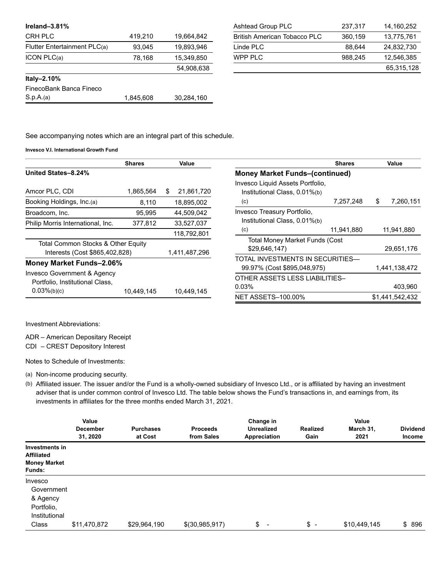| Ireland-3.81%                |           |            |
|------------------------------|-----------|------------|
| <b>CRH PLC</b>               | 419,210   | 19,664,842 |
| Flutter Entertainment PLC(a) | 93,045    | 19,893,946 |
| $ICON$ $PLC(a)$              | 78,168    | 15,349,850 |
|                              |           | 54.908.638 |
| Italy-2.10%                  |           |            |
| FinecoBank Banca Fineco      |           |            |
| S.p.A.(a)                    | 1,845,608 | 30,284,160 |

| Ashtead Group PLC            | 237,317 | 14.160.252 |
|------------------------------|---------|------------|
| British American Tobacco PLC | 360,159 | 13,775,761 |
| Linde PLC                    | 88.644  | 24,832,730 |
| WPP PI C                     | 988.245 | 12,546,385 |
|                              |         | 65,315,128 |

See accompanying notes which are an integral part of this schedule.

**Invesco V.I. International Growth Fund**

|                                                                                  | <b>Shares</b> | Value            |                                                                   | <b>Shares</b> | Value           |
|----------------------------------------------------------------------------------|---------------|------------------|-------------------------------------------------------------------|---------------|-----------------|
| United States-8.24%                                                              |               |                  | <b>Money Market Funds-(continued)</b>                             |               |                 |
| Amcor PLC, CDI                                                                   | 1,865,564     | 21,861,720<br>S. | Invesco Liquid Assets Portfolio,<br>Institutional Class, 0.01%(b) |               |                 |
| Booking Holdings, Inc.(a)                                                        | 8,110         | 18,895,002       | (c)                                                               | 7,257,248     | \$<br>7,260,151 |
| Broadcom, Inc.                                                                   | 95.995        | 44,509,042       | Invesco Treasury Portfolio,                                       |               |                 |
| Philip Morris International, Inc.                                                | 377,812       | 33,527,037       | Institutional Class, 0.01%(b)                                     |               |                 |
|                                                                                  |               | 118,792,801      | (c)                                                               | 11,941,880    | 11,941,880      |
| Total Common Stocks & Other Equity<br>Interests (Cost \$865,402,828)             |               | 1,411,487,296    | <b>Total Money Market Funds (Cost</b><br>\$29,646,147             |               | 29,651,176      |
| Money Market Funds-2.06%                                                         |               |                  | TOTAL INVESTMENTS IN SECURITIES-<br>99.97% (Cost \$895,048,975)   |               | 1,441,138,472   |
| Invesco Government & Agency<br>Portfolio, Institutional Class,<br>$0.03\%(b)(c)$ | 10,449,145    | 10.449.145       | OTHER ASSETS LESS LIABILITIES-<br>0.03%                           |               | 403,960         |
|                                                                                  |               |                  | <b>NET ASSETS-100.00%</b>                                         |               | \$1.441.542.432 |

Investment Abbreviations:

ADR – American Depositary Receipt

CDI – CREST Depository Interest

Notes to Schedule of Investments:

(a) Non-income producing security.

(b) Affiliated issuer. The issuer and/or the Fund is a wholly-owned subsidiary of Invesco Ltd., or is affiliated by having an investment adviser that is under common control of Invesco Ltd. The table below shows the Fund's transactions in, and earnings from, its investments in affiliates for the three months ended March 31, 2021.

|                                                                             | Value<br><b>December</b><br>31, 2020 | <b>Purchases</b><br>at Cost | <b>Proceeds</b><br>from Sales | Change in<br><b>Unrealized</b><br>Appreciation | Realized<br>Gain | Value<br>March 31,<br>2021 | <b>Dividend</b><br><b>Income</b> |
|-----------------------------------------------------------------------------|--------------------------------------|-----------------------------|-------------------------------|------------------------------------------------|------------------|----------------------------|----------------------------------|
| Investments in<br><b>Affiliated</b><br><b>Money Market</b><br><b>Funds:</b> |                                      |                             |                               |                                                |                  |                            |                                  |
| Invesco<br>Government<br>& Agency<br>Portfolio,<br>Institutional            |                                      |                             |                               |                                                |                  |                            |                                  |
| Class                                                                       | \$11,470,872                         | \$29,964,190                | \$(30,985,917)                | \$<br>$\overline{\phantom{a}}$                 | $s -$            | \$10,449,145               | \$896                            |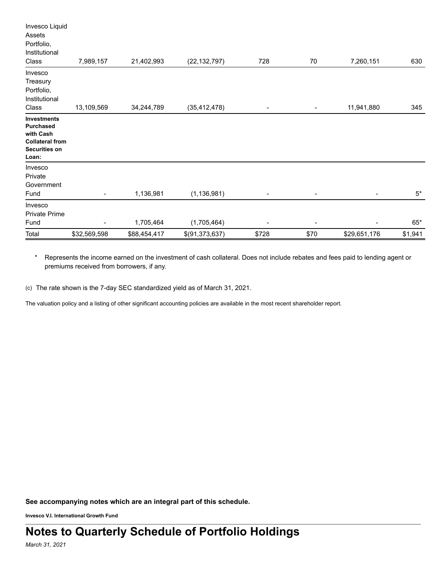| Total                                                                                                   | \$32,569,598   | \$88,454,417 | \$(91,373,637) | \$728 | \$70                     | \$29,651,176                 | \$1,941   |
|---------------------------------------------------------------------------------------------------------|----------------|--------------|----------------|-------|--------------------------|------------------------------|-----------|
| Private Prime<br>Fund                                                                                   |                | 1,705,464    | (1,705,464)    | -     | $\overline{\phantom{0}}$ | $\overline{a}$               | $65*$     |
| Invesco                                                                                                 |                |              |                |       |                          |                              |           |
| Invesco<br>Private<br>Government<br>Fund                                                                | $\blacksquare$ | 1,136,981    | (1, 136, 981)  | -     | ۰                        | $\qquad \qquad \blacksquare$ | $5^\star$ |
| <b>Investments</b><br><b>Purchased</b><br>with Cash<br><b>Collateral from</b><br>Securities on<br>Loan: |                |              |                |       |                          |                              |           |
| Invesco<br>Treasury<br>Portfolio,<br>Institutional<br>Class                                             | 13,109,569     | 34,244,789   | (35, 412, 478) |       |                          | 11,941,880                   | 345       |
| Invesco Liquid<br>Assets<br>Portfolio,<br>Institutional<br>Class                                        | 7,989,157      | 21,402,993   | (22, 132, 797) | 728   | 70                       | 7,260,151                    | 630       |

\* Represents the income earned on the investment of cash collateral. Does not include rebates and fees paid to lending agent or premiums received from borrowers, if any.

(c) The rate shown is the 7-day SEC standardized yield as of March 31, 2021.

The valuation policy and a listing of other significant accounting policies are available in the most recent shareholder report.

**See accompanying notes which are an integral part of this schedule.**

**Invesco V.I. International Growth Fund**

*March 31, 2021*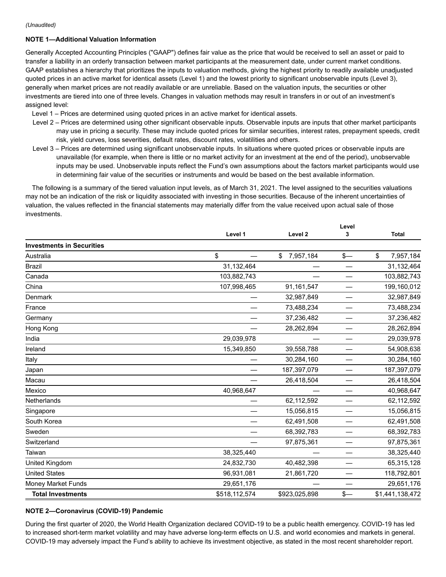## **NOTE 1—Additional Valuation Information**

Generally Accepted Accounting Principles ("GAAP") defines fair value as the price that would be received to sell an asset or paid to transfer a liability in an orderly transaction between market participants at the measurement date, under current market conditions. GAAP establishes a hierarchy that prioritizes the inputs to valuation methods, giving the highest priority to readily available unadjusted quoted prices in an active market for identical assets (Level 1) and the lowest priority to significant unobservable inputs (Level 3), generally when market prices are not readily available or are unreliable. Based on the valuation inputs, the securities or other investments are tiered into one of three levels. Changes in valuation methods may result in transfers in or out of an investment's assigned level:

- Level 1 Prices are determined using quoted prices in an active market for identical assets.
- Level 2 Prices are determined using other significant observable inputs. Observable inputs are inputs that other market participants may use in pricing a security. These may include quoted prices for similar securities, interest rates, prepayment speeds, credit risk, yield curves, loss severities, default rates, discount rates, volatilities and others.
- Level 3 Prices are determined using significant unobservable inputs. In situations where quoted prices or observable inputs are unavailable (for example, when there is little or no market activity for an investment at the end of the period), unobservable inputs may be used. Unobservable inputs reflect the Fund's own assumptions about the factors market participants would use in determining fair value of the securities or instruments and would be based on the best available information.

The following is a summary of the tiered valuation input levels, as of March 31, 2021. The level assigned to the securities valuations may not be an indication of the risk or liquidity associated with investing in those securities. Because of the inherent uncertainties of valuation, the values reflected in the financial statements may materially differ from the value received upon actual sale of those investments.

|                                  |               |                    | Level |                 |  |
|----------------------------------|---------------|--------------------|-------|-----------------|--|
|                                  | Level 1       | Level <sub>2</sub> | 3     | <b>Total</b>    |  |
| <b>Investments in Securities</b> |               |                    |       |                 |  |
| Australia                        | \$            | 7,957,184<br>\$    | $s-$  | \$<br>7,957,184 |  |
| <b>Brazil</b>                    | 31,132,464    |                    |       | 31,132,464      |  |
| Canada                           | 103,882,743   |                    |       | 103,882,743     |  |
| China                            | 107,998,465   | 91,161,547         |       | 199,160,012     |  |
| Denmark                          |               | 32,987,849         |       | 32,987,849      |  |
| France                           |               | 73,488,234         |       | 73,488,234      |  |
| Germany                          |               | 37,236,482         |       | 37,236,482      |  |
| Hong Kong                        |               | 28,262,894         |       | 28,262,894      |  |
| India                            | 29,039,978    |                    |       | 29,039,978      |  |
| Ireland                          | 15,349,850    | 39,558,788         |       | 54,908,638      |  |
| Italy                            |               | 30,284,160         |       | 30,284,160      |  |
| Japan                            |               | 187,397,079        |       | 187,397,079     |  |
| Macau                            |               | 26,418,504         |       | 26,418,504      |  |
| Mexico                           | 40,968,647    |                    |       | 40,968,647      |  |
| <b>Netherlands</b>               |               | 62,112,592         |       | 62,112,592      |  |
| Singapore                        |               | 15,056,815         |       | 15,056,815      |  |
| South Korea                      |               | 62,491,508         |       | 62,491,508      |  |
| Sweden                           |               | 68,392,783         |       | 68,392,783      |  |
| Switzerland                      |               | 97,875,361         |       | 97,875,361      |  |
| Taiwan                           | 38,325,440    |                    |       | 38,325,440      |  |
| United Kingdom                   | 24,832,730    | 40,482,398         |       | 65,315,128      |  |
| <b>United States</b>             | 96,931,081    | 21,861,720         |       | 118,792,801     |  |
| Money Market Funds               | 29,651,176    |                    |       | 29,651,176      |  |
| <b>Total Investments</b>         | \$518,112,574 | \$923,025,898      | $s-$  | \$1,441,138,472 |  |

## **NOTE 2—Coronavirus (COVID-19) Pandemic**

During the first quarter of 2020, the World Health Organization declared COVID-19 to be a public health emergency. COVID-19 has led to increased short-term market volatility and may have adverse long-term effects on U.S. and world economies and markets in general. COVID-19 may adversely impact the Fund's ability to achieve its investment objective, as stated in the most recent shareholder report.